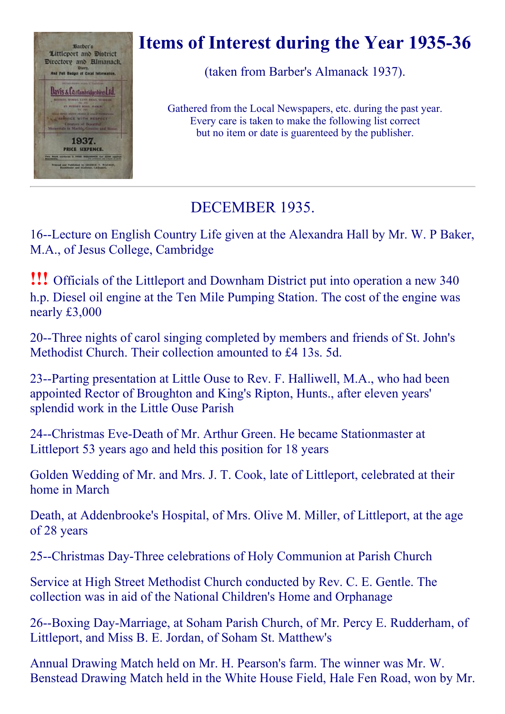

# Items of Interest during the Year 1935-36

(taken from Barber's Almanack 1937).

Gathered from the Local Newspapers, etc. during the past year. Every care is taken to make the following list correct but no item or date is guarenteed by the publisher.

## DECEMBER 1935.

16--Lecture on English Country Life given at the Alexandra Hall by Mr. W. P Baker, M.A., of Jesus College, Cambridge

!!! Officials of the Littleport and Downham District put into operation <sup>a</sup> new <sup>340</sup> h.p. Diesel oil engine at the Ten Mile Pumping Station. The cost of the engine was nearly £3,000

20--Three nights of carol singing completed by members and friends of St. John's Methodist Church. Their collection amounted to £4 13s. 5d.

23--Parting presentation at Little Ouse to Rev. F. Halliwell, M.A., who had been appointed Rector of Broughton and King's Ripton, Hunts., after eleven years' splendid work in the Little Ouse Parish

24--Christmas Eve-Death of Mr. Arthur Green. He became Stationmaster at Littleport 53 years ago and held this position for 18 years

Golden Wedding of Mr. and Mrs. J. T. Cook, late of Littleport, celebrated at their home in March

Death, at Addenbrooke's Hospital, of Mrs. Olive M. Miller, of Littleport, at the age of 28 years

25--Christmas Day-Three celebrations of Holy Communion at Parish Church

Service at High Street Methodist Church conducted by Rev. C. E. Gentle. The collection was in aid of the National Children's Home and Orphanage

26--Boxing Day-Marriage, at Soham Parish Church, of Mr. Percy E. Rudderham, of Littleport, and Miss B. E. Jordan, of Soham St. Matthew's

Annual Drawing Match held on Mr. H. Pearson's farm. The winner was Mr. W. Benstead Drawing Match held in the White House Field, Hale Fen Road, won by Mr.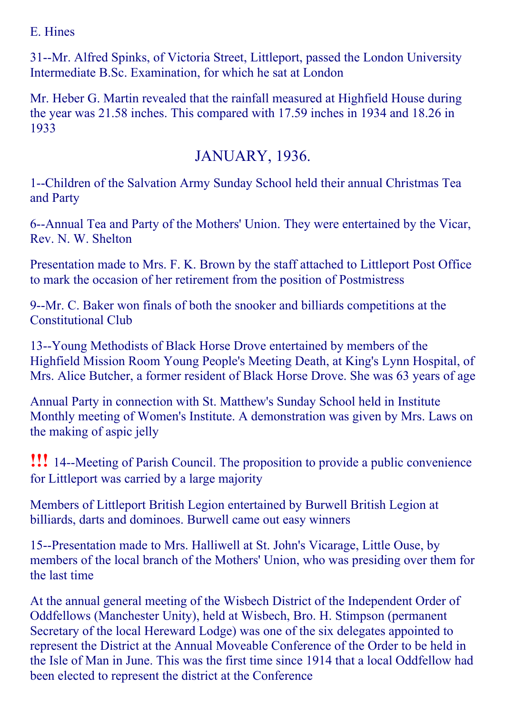E. Hines

31--Mr. Alfred Spinks, of Victoria Street, Littleport, passed the London University Intermediate B.Sc. Examination, for which he sat at London

Mr. Heber G. Martin revealed that the rainfall measured at Highfield House during the year was 21.58 inches. This compared with 17.59 inches in 1934 and 18.26 in 1933

#### JANUARY, 1936.

1--Children of the Salvation Army Sunday School held their annual Christmas Tea and Party

6--Annual Tea and Party of the Mothers' Union. They were entertained by the Vicar, Rev. N. W. Shelton

Presentation made to Mrs. F. K. Brown by the staff attached to Littleport Post Office to mark the occasion of her retirement from the position of Postmistress

9--Mr. C. Baker won finals of both the snooker and billiards competitions at the Constitutional Club

13-Young Methodists of Black Horse Drove entertained by members of the Highfield Mission Room Young People's Meeting Death, at King's Lynn Hospital, of Mrs. Alice Butcher, a former resident of Black Horse Drove. She was 63 years of age

Annual Party in connection with St. Matthew's Sunday School held in Institute Monthly meeting of Women's Institute. A demonstration was given by Mrs. Laws on the making of aspic jelly

**!!!** 14--Meeting of Parish Council. The proposition to provide a public convenience for Littleport was carried by a large majority

Members of Littleport British Legion entertained by Burwell British Legion at billiards, darts and dominoes. Burwell came out easy winners

15--Presentation made to Mrs. Halliwell at St. John's Vicarage, Little Ouse, by members of the local branch of the Mothers' Union, who was presiding over them for the last time

At the annual general meeting of the Wisbech District of the Independent Order of Oddfellows (Manchester Unity), held at Wisbech, Bro. H. Stimpson (permanent Secretary of the local Hereward Lodge) was one of the six delegates appointed to represent the District at the Annual Moveable Conference of the Order to be held in the Isle of Man in June. This was the first time since 1914 that a local Oddfellow had been elected to represent the district at the Conference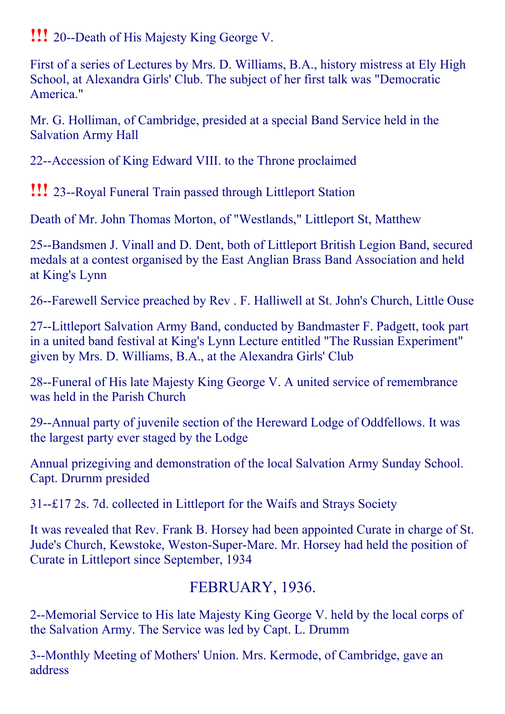#### **!!!** 20--Death of His Majesty King George V.

First of a series of Lectures by Mrs. D. Williams, B.A., history mistress at Ely High School, at Alexandra Girls' Club. The subject of her first talk was "Democratic America."

Mr. G. Holliman, of Cambridge, presided at a special Band Service held in the Salvation Army Hall

22--Accession of King Edward VIII. to the Throne proclaimed

**!!!** 23--Royal Funeral Train passed through Littleport Station

Death of Mr. John Thomas Morton, of "Westlands," Littleport St, Matthew

25--Bandsmen J. Vinall and D. Dent, both of Littleport British Legion Band, secured medals at a contest organised by the East Anglian Brass Band Association and held at King's Lynn

26-Farewell Service preached by Rev . F. Halliwell at St. John's Church, Little Ouse

27--Littleport Salvation Army Band, conducted by Bandmaster F. Padgett, took part in a united band festival at King's Lynn Lecture entitled "The Russian Experiment" given by Mrs. D. Williams, B.A., at the Alexandra Girls' Club

28-Funeral of His late Majesty King George V. A united service of remembrance was held in the Parish Church

29--Annual party of juvenile section of the Hereward Lodge of Oddfellows. It was the largest party ever staged by the Lodge

Annual prizegiving and demonstration of the local Salvation Army Sunday School. Capt. Drurnm presided

31--£17 2s. 7d. collected in Littleport for the Waifs and Strays Society

It was revealed that Rev. Frank B. Horsey had been appointed Curate in charge of St. Jude's Church, Kewstoke, Weston-Super-Mare. Mr. Horsey had held the position of Curate in Littleport since September, 1934

### FEBRUARY, 1936.

2--Memorial Service to His late Majesty King George V. held by the local corps of the Salvation Army. The Service was led by Capt. L. Drumm

3--Monthly Meeting of Mothers' Union. Mrs. Kermode, of Cambridge, gave an address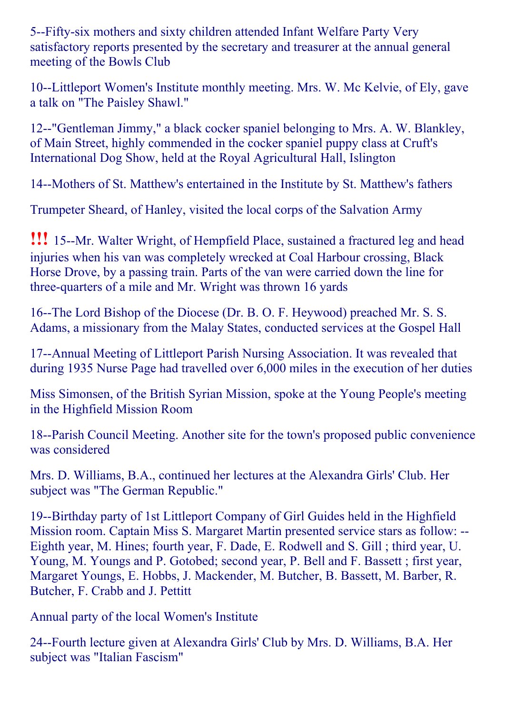5-Fifty-six mothers and sixty children attended Infant Welfare Party Very satisfactory reports presented by the secretary and treasurer at the annual general meeting of the Bowls Club

10--Littleport Women's Institute monthly meeting. Mrs. W. Mc Kelvie, of Ely, gave a talk on "The Paisley Shawl."

12--"Gentleman Jimmy," a black cocker spaniel belonging to Mrs. A. W. Blankley, of Main Street, highly commended in the cocker spaniel puppy class at Cruft's International Dog Show, held at the Royal Agricultural Hall, Islington

14--Mothers of St. Matthew's entertained in the Institute by St. Matthew's fathers

Trumpeter Sheard, of Hanley, visited the local corps of the Salvation Army

**!!!** 15--Mr. Walter Wright, of Hempfield Place, sustained a fractured leg and head injuries when his van was completely wrecked at Coal Harbour crossing, Black Horse Drove, by a passing train. Parts of the van were carried down the line for three-quarters of a mile and Mr. Wright was thrown 16 yards

16--The Lord Bishop of the Diocese (Dr. B. O. F. Heywood) preached Mr. S. S. Adams, a missionary from the Malay States, conducted services at the Gospel Hall

17--Annual Meeting of Littleport Parish Nursing Association. It was revealed that during 1935 Nurse Page had travelled over 6,000 miles in the execution of her duties

Miss Simonsen, of the British Syrian Mission, spoke at the Young People's meeting in the Highfield Mission Room

18--Parish Council Meeting. Another site for the town's proposed public convenience was considered

Mrs. D. Williams, B.A., continued her lectures at the Alexandra Girls' Club. Her subject was "The German Republic."

19--Birthday party of 1st Littleport Company of Girl Guides held in the Highfield Mission room. Captain Miss S. Margaret Martin presented service stars as follow: Eighth year, M. Hines; fourth year, F. Dade, E. Rodwell and S. Gill ; third year, U. Young, M. Youngs and P. Gotobed; second year, P. Bell and F. Bassett ; first year, Margaret Youngs, E. Hobbs, J. Mackender, M. Butcher, B. Bassett, M. Barber, R. Butcher, F. Crabb and J. Pettitt

Annual party of the local Women's Institute

24-Fourth lecture given at Alexandra Girls' Club by Mrs. D. Williams, B.A. Her subject was "Italian Fascism"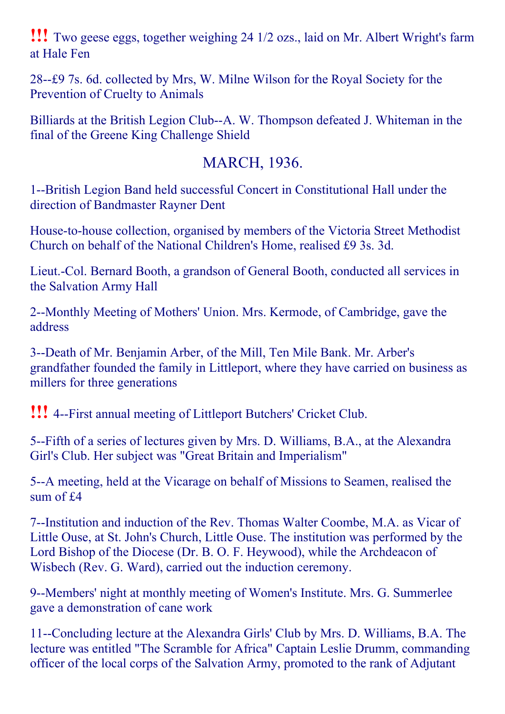!!! Two geese eggs, together weighing <sup>24</sup> 1/2 ozs., laid on Mr. Albert Wright's farm at Hale Fen

28—f9 7s. 6d. collected by Mrs, W. Milne Wilson for the Royal Society for the Prevention of Cruelty to Animals

Billiards at the British Legion Club--A. W. Thompson defeated J. Whiteman in the final of the Greene King Challenge Shield

#### MARCH, 1936.

1--British Legion Band held successful Concert in Constitutional Hall under the direction of Bandmaster Rayner Dent

House-to-house collection, organised by members of the Victoria Street Methodist Church on behalf of the National Children's Home, realised £9 3s. 3d.

Lieut.Col. Bernard Booth, a grandson of General Booth, conducted all services in the Salvation Army Hall

2--Monthly Meeting of Mothers' Union. Mrs. Kermode, of Cambridge, gave the address

3--Death of Mr. Benjamin Arber, of the Mill, Ten Mile Bank. Mr. Arber's grandfather founded the family in Littleport, where they have carried on business as millers for three generations

**!!!** 4--First annual meeting of Littleport Butchers' Cricket Club.

5--Fifth of a series of lectures given by Mrs. D. Williams, B.A., at the Alexandra Girl's Club. Her subject was "Great Britain and Imperialism"

5--A meeting, held at the Vicarage on behalf of Missions to Seamen, realised the sum of  $f4$ 

7--Institution and induction of the Rev. Thomas Walter Coombe, M.A. as Vicar of Little Ouse, at St. John's Church, Little Ouse. The institution was performed by the Lord Bishop of the Diocese (Dr. B. O. F. Heywood), while the Archdeacon of Wisbech (Rev. G. Ward), carried out the induction ceremony.

9--Members' night at monthly meeting of Women's Institute. Mrs. G. Summerlee gave a demonstration of cane work

11--Concluding lecture at the Alexandra Girls' Club by Mrs. D. Williams, B.A. The lecture was entitled "The Scramble for Africa" Captain Leslie Drumm, commanding officer of the local corps of the Salvation Army, promoted to the rank of Adjutant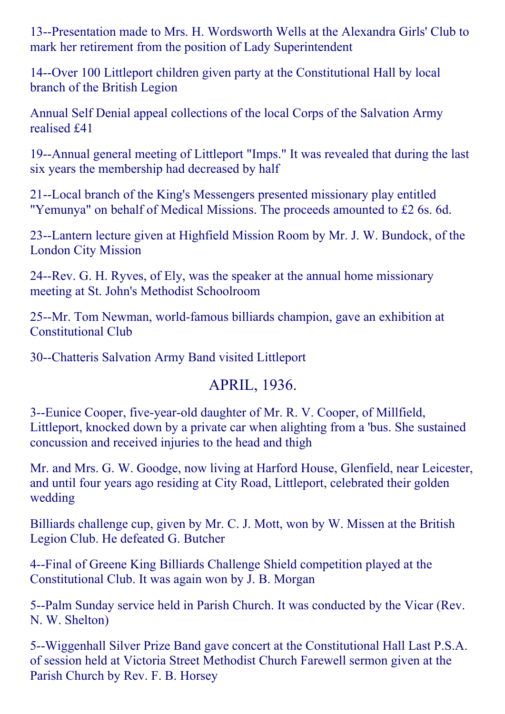13--Presentation made to Mrs. H. Wordsworth Wells at the Alexandra Girls' Club to mark her retirement from the position of Lady Superintendent

14--Over 100 Littleport children given party at the Constitutional Hall by local branch of the British Legion

Annual Self Denial appeal collections of the local Corps of the Salvation Army realised £41

19--Annual general meeting of Littleport "Imps." It was revealed that during the last six years the membership had decreased by half

21--Local branch of the King's Messengers presented missionary play entitled "Yemunya" on behalf of Medical Missions. The proceeds amounted to £2 6s. 6d.

23--Lantern lecture given at Highfield Mission Room by Mr. J. W. Bundock, of the London City Mission

24--Rev. G. H. Ryves, of Ely, was the speaker at the annual home missionary meeting at St. John's Methodist Schoolroom

25--Mr. Tom Newman, world-famous billiards champion, gave an exhibition at Constitutional Club

30--Chatteris Salvation Army Band visited Littleport

#### APRIL, 1936.

3--Eunice Cooper, five-year-old daughter of Mr. R. V. Cooper, of Millfield, Littleport, knocked down by a private car when alighting from a 'bus. She sustained concussion and received injuries to the head and thigh

Mr. and Mrs. G. W. Goodge, now living at Harford House, Glenfield, near Leicester, and until four years ago residing at City Road, Littleport, celebrated their golden wedding

Billiards challenge cup, given by Mr. C. J. Mott, won by W. Missen at the British Legion Club. He defeated G. Butcher

4Final of Greene King Billiards Challenge Shield competition played at the Constitutional Club. It was again won by J. B. Morgan

5--Palm Sunday service held in Parish Church. It was conducted by the Vicar (Rev. N. W. Shelton)

5--Wiggenhall Silver Prize Band gave concert at the Constitutional Hall Last P.S.A. of session held at Victoria Street Methodist Church Farewell sermon given at the Parish Church by Rev. F. B. Horsey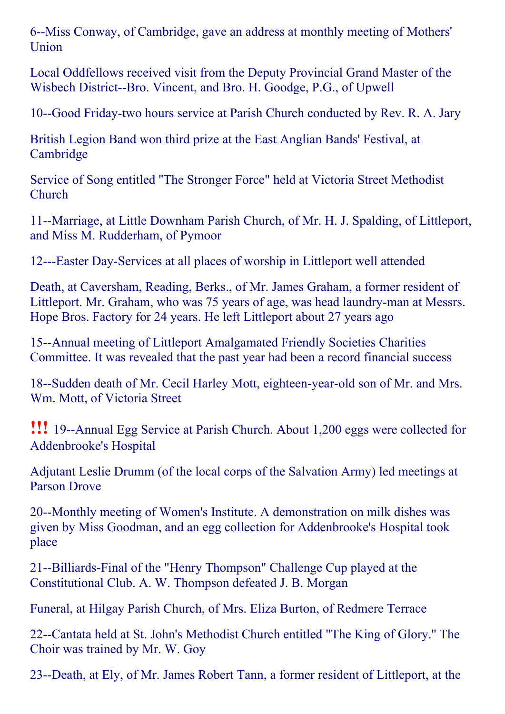6--Miss Conway, of Cambridge, gave an address at monthly meeting of Mothers' Union

Local Oddfellows received visit from the Deputy Provincial Grand Master of the Wisbech District--Bro. Vincent, and Bro. H. Goodge, P.G., of Upwell

10--Good Friday-two hours service at Parish Church conducted by Rev. R. A. Jary

British Legion Band won third prize at the East Anglian Bands' Festival, at Cambridge

Service of Song entitled ''The Stronger Force" held at Victoria Street Methodist Church

11--Marriage, at Little Downham Parish Church, of Mr. H. J. Spalding, of Littleport, and Miss M. Rudderham, of Pymoor

12---Easter Day-Services at all places of worship in Littleport well attended

Death, at Caversham, Reading, Berks., of Mr. James Graham, a former resident of Littleport. Mr. Graham, who was 75 years of age, was head laundry-man at Messrs. Hope Bros. Factory for 24 years. He left Littleport about 27 years ago

15--Annual meeting of Littleport Amalgamated Friendly Societies Charities Committee. It was revealed that the past year had been a record financial success

18--Sudden death of Mr. Cecil Harley Mott, eighteen-year-old son of Mr. and Mrs. Wm. Mott, of Victoria Street

**!!!** 19--Annual Egg Service at Parish Church. About 1,200 eggs were collected for Addenbrooke's Hospital

Adjutant Leslie Drumm (of the local corps of the Salvation Army) led meetings at Parson Drove

20--Monthly meeting of Women's Institute. A demonstration on milk dishes was given by Miss Goodman, and an egg collection for Addenbrooke's Hospital took place

21--Billiards-Final of the "Henry Thompson" Challenge Cup played at the Constitutional Club. A. W. Thompson defeated J. B. Morgan

Funeral, at Hilgay Parish Church, of Mrs. Eliza Burton, of Redmere Terrace

22--Cantata held at St. John's Methodist Church entitled "The King of Glory." The Choir was trained by Mr. W. Goy

23--Death, at Ely, of Mr. James Robert Tann, a former resident of Littleport, at the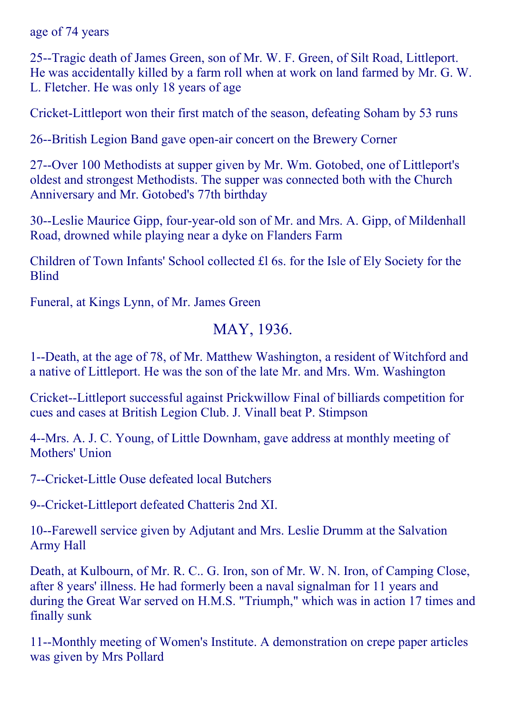age of 74 years

25--Tragic death of James Green, son of Mr. W. F. Green, of Silt Road, Littleport. He was accidentally killed by a farm roll when at work on land farmed by Mr. G. W. L. Fletcher. He was only 18 years of age

Cricket-Littleport won their first match of the season, defeating Soham by 53 runs

26--British Legion Band gave open-air concert on the Brewery Corner

27--Over 100 Methodists at supper given by Mr. Wm. Gotobed, one of Littleport's oldest and strongest Methodists. The supper was connected both with the Church Anniversary and Mr. Gotobed's 77th birthday

30--Leslie Maurice Gipp, four-year-old son of Mr. and Mrs. A. Gipp, of Mildenhall Road, drowned while playing near a dyke on Flanders Farm

Children of Town Infants' School collected £l 6s. for the Isle of Ely Society for the **Blind** 

Funeral, at Kings Lynn, of Mr. James Green

#### MAY, 1936.

1--Death, at the age of 78, of Mr. Matthew Washington, a resident of Witchford and a native of Littleport. He was the son of the late Mr. and Mrs. Wm. Washington

Cricket--Littleport successful against Prickwillow Final of billiards competition for cues and cases at British Legion Club. J. Vinall beat P. Stimpson

4--Mrs. A. J. C. Young, of Little Downham, gave address at monthly meeting of Mothers' Union

7--Cricket-Little Ouse defeated local Butchers

9--Cricket-Littleport defeated Chatteris 2nd XI.

10-Farewell service given by Adjutant and Mrs. Leslie Drumm at the Salvation Army Hall

Death, at Kulbourn, of Mr. R. C.. G. Iron, son of Mr. W. N. Iron, of Camping Close, after 8 years' illness. He had formerly been a naval signalman for 11 years and during the Great War served on H.M.S. "Triumph," which was in action 17 times and finally sunk

11--Monthly meeting of Women's Institute. A demonstration on crepe paper articles was given by Mrs Pollard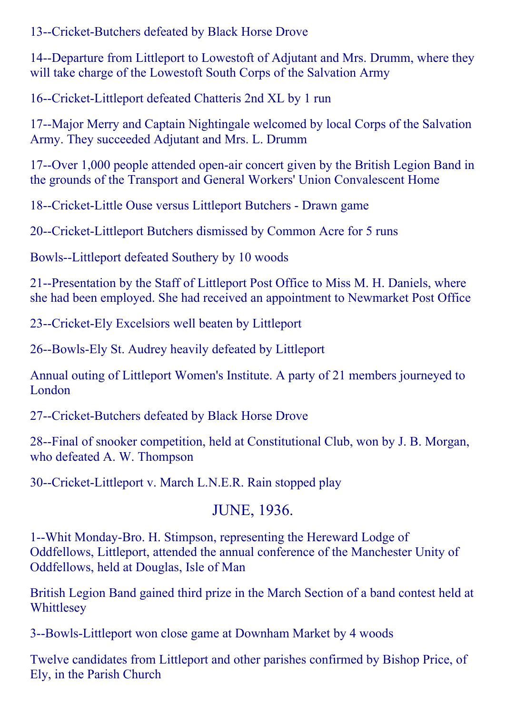13--Cricket-Butchers defeated by Black Horse Drove

14--Departure from Littleport to Lowestoft of Adjutant and Mrs. Drumm, where they will take charge of the Lowestoft South Corps of the Salvation Army

16--Cricket-Littleport defeated Chatteris 2nd XL by 1 run

17--Major Merry and Captain Nightingale welcomed by local Corps of the Salvation Army. They succeeded Adjutant and Mrs. L. Drumm

17--Over 1,000 people attended open-air concert given by the British Legion Band in the grounds of the Transport and General Workers' Union Convalescent Home

18--Cricket-Little Ouse versus Littleport Butchers - Drawn game

20--Cricket-Littleport Butchers dismissed by Common Acre for 5 runs

Bowls--Littleport defeated Southery by 10 woods

21--Presentation by the Staff of Littleport Post Office to Miss M. H. Daniels, where she had been employed. She had received an appointment to Newmarket Post Office

23--Cricket-Ely Excelsiors well beaten by Littleport

26--Bowls-Ely St. Audrey heavily defeated by Littleport

Annual outing of Littleport Women's Institute. A party of 21 members journeyed to London

27--Cricket-Butchers defeated by Black Horse Drove

28-Final of snooker competition, held at Constitutional Club, won by J. B. Morgan, who defeated A. W. Thompson

30--Cricket-Littleport v. March L.N.E.R. Rain stopped play

#### JUNE, 1936.

1--Whit Monday-Bro. H. Stimpson, representing the Hereward Lodge of Oddfellows, Littleport, attended the annual conference of the Manchester Unity of Oddfellows, held at Douglas, Isle of Man

British Legion Band gained third prize in the March Section of a band contest held at Whittlesey

3--Bowls-Littleport won close game at Downham Market by 4 woods

Twelve candidates from Littleport and other parishes confirmed by Bishop Price, of Ely, in the Parish Church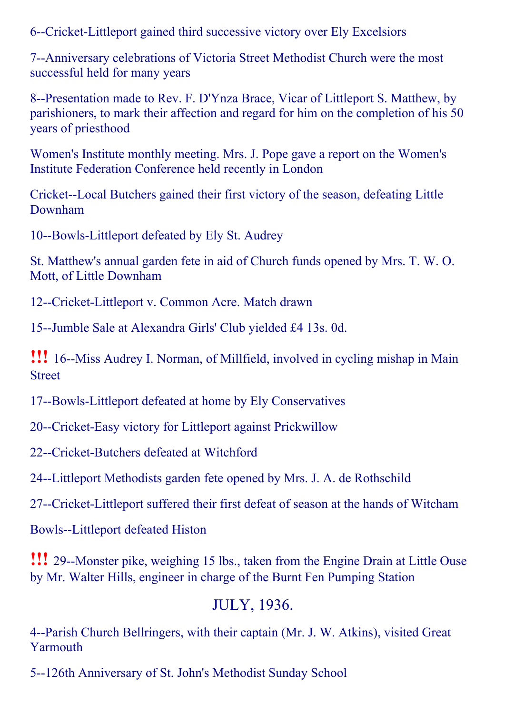6--Cricket-Littleport gained third successive victory over Ely Excelsiors

7--Anniversary celebrations of Victoria Street Methodist Church were the most successful held for many years

8--Presentation made to Rev. F. D'Ynza Brace, Vicar of Littleport S. Matthew, by parishioners, to mark their affection and regard for him on the completion of his 50 years of priesthood

Women's Institute monthly meeting. Mrs. J. Pope gave a report on the Women's Institute Federation Conference held recently in London

Cricket--Local Butchers gained their first victory of the season, defeating Little Downham

10--Bowls-Littleport defeated by Ely St. Audrey

St. Matthew's annual garden fete in aid of Church funds opened by Mrs. T. W. O. Mott, of Little Downham

12--Cricket-Littleport v. Common Acre. Match drawn

15--Jumble Sale at Alexandra Girls' Club yielded £4 13s. 0d.

**!!!** 16--Miss Audrey I. Norman, of Millfield, involved in cycling mishap in Main **Street** 

17--Bowls-Littleport defeated at home by Ely Conservatives

20--Cricket-Easy victory for Littleport against Prickwillow

22--Cricket-Butchers defeated at Witchford

24--Littleport Methodists garden fete opened by Mrs. J. A. de Rothschild

27--Cricket-Littleport suffered their first defeat of season at the hands of Witcham

Bowls--Littleport defeated Histon

**!!!** 29--Monster pike, weighing 15 lbs., taken from the Engine Drain at Little Ouse by Mr. Walter Hills, engineer in charge of the Burnt Fen Pumping Station

#### JULY, 1936.

4--Parish Church Bellringers, with their captain (Mr. J. W. Atkins), visited Great Yarmouth

5--126th Anniversary of St. John's Methodist Sunday School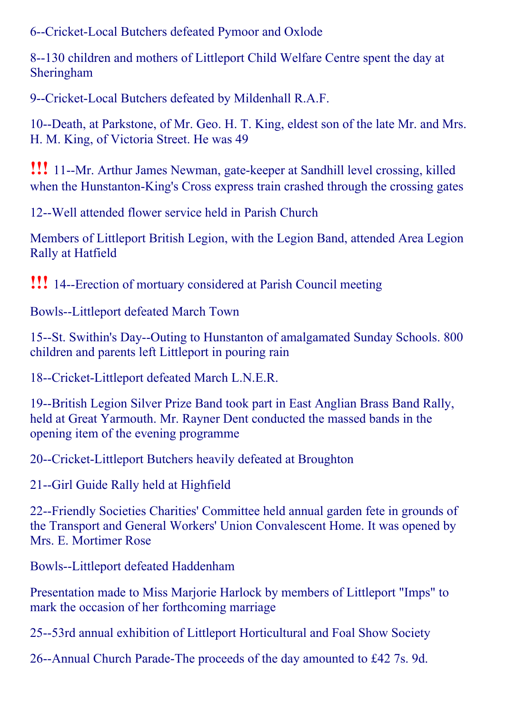6--Cricket-Local Butchers defeated Pymoor and Oxlode

8--130 children and mothers of Littleport Child Welfare Centre spent the day at Sheringham

9--Cricket-Local Butchers defeated by Mildenhall R.A.F.

10--Death, at Parkstone, of Mr. Geo. H. T. King, eldest son of the late Mr. and Mrs. H. M. King, of Victoria Street. He was 49

**!!!** 11--Mr. Arthur James Newman, gate-keeper at Sandhill level crossing, killed when the Hunstanton-King's Cross express train crashed through the crossing gates

12--Well attended flower service held in Parish Church

Members of Littleport British Legion, with the Legion Band, attended Area Legion Rally at Hatfield

**!!!** 14--Erection of mortuary considered at Parish Council meeting

Bowls--Littleport defeated March Town

15--St. Swithin's Day--Outing to Hunstanton of amalgamated Sunday Schools. 800 children and parents left Littleport in pouring rain

18--Cricket-Littleport defeated March L.N.E.R.

19--British Legion Silver Prize Band took part in East Anglian Brass Band Rally, held at Great Yarmouth. Mr. Rayner Dent conducted the massed bands in the opening item of the evening programme

20--Cricket-Littleport Butchers heavily defeated at Broughton

21--Girl Guide Rally held at Highfield

22--Friendly Societies Charities' Committee held annual garden fete in grounds of the Transport and General Workers' Union Convalescent Home. It was opened by Mrs. E. Mortimer Rose

Bowls--Littleport defeated Haddenham

Presentation made to Miss Marjorie Harlock by members of Littleport "Imps" to mark the occasion of her forthcoming marriage

25--53rd annual exhibition of Littleport Horticultural and Foal Show Society

26--Annual Church Parade-The proceeds of the day amounted to £42 7s. 9d.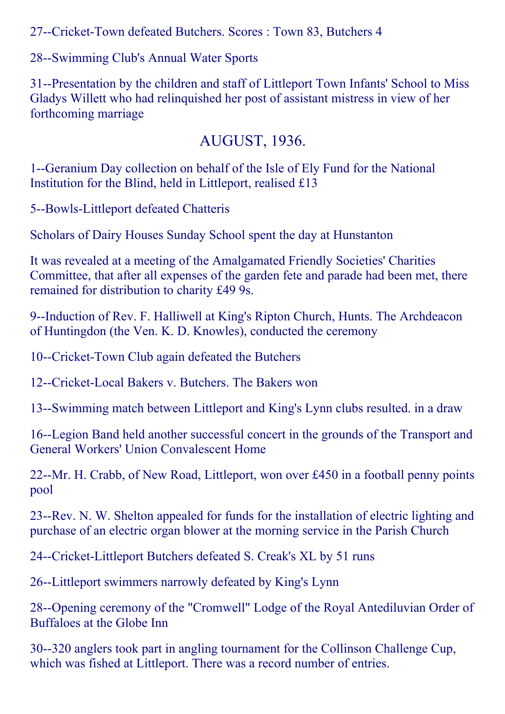27--Cricket-Town defeated Butchers. Scores : Town 83, Butchers 4

28--Swimming Club's Annual Water Sports

31--Presentation by the children and staff of Littleport Town Infants' School to Miss Gladys Willett who had relinquished her post of assistant mistress in view of her forthcoming marriage

### AUGUST, 1936.

1--Geranium Day collection on behalf of the Isle of Ely Fund for the National Institution for the Blind, held in Littleport, realised £13

5--Bowls-Littleport defeated Chatteris

Scholars of Dairy Houses Sunday School spent the day at Hunstanton

It was revealed at a meeting of the Amalgamated Friendly Societies' Charities Committee, that after all expenses of the garden fete and parade had been met, there remained for distribution to charity £49 9s.

9--Induction of Rev. F. Halliwell at King's Ripton Church, Hunts. The Archdeacon of Huntingdon (the Ven. K. D. Knowles), conducted the ceremony

10--Cricket-Town Club again defeated the Butchers

12--Cricket-Local Bakers v. Butchers. The Bakers won

13--Swimming match between Littleport and King's Lynn clubs resulted. in a draw

16--Legion Band held another successful concert in the grounds of the Transport and General Workers' Union Convalescent Home

22--Mr. H. Crabb, of New Road, Littleport, won over  $£450$  in a football penny points pool

23--Rev. N. W. Shelton appealed for funds for the installation of electric lighting and purchase of an electric organ blower at the morning service in the Parish Church

24--Cricket-Littleport Butchers defeated S. Creak's XL by 51 runs

26--Littleport swimmers narrowly defeated by King's Lynn

28--Opening ceremony of the "Cromwell" Lodge of the Royal Antediluvian Order of Buffaloes at the Globe Inn

30--320 anglers took part in angling tournament for the Collinson Challenge Cup, which was fished at Littleport. There was a record number of entries.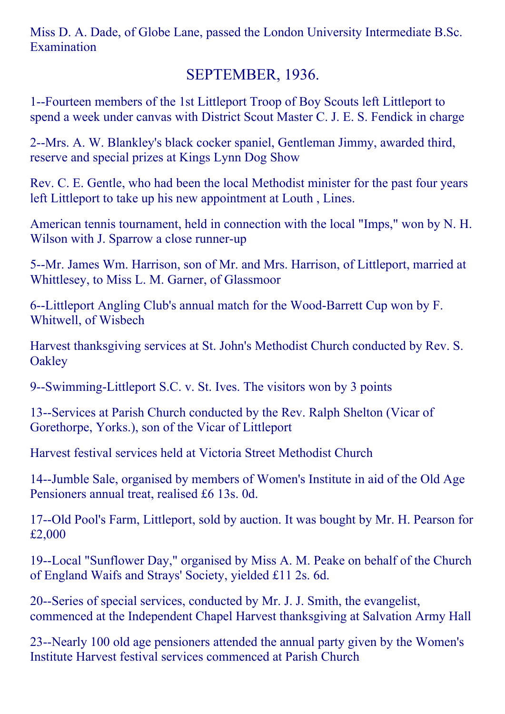Miss D. A. Dade, of Globe Lane, passed the London University Intermediate B.Sc. Examination

### SEPTEMBER, 1936.

1Fourteen members of the 1st Littleport Troop of Boy Scouts left Littleport to spend a week under canvas with District Scout Master C. J. E. S. Fendick in charge

2--Mrs. A. W. Blankley's black cocker spaniel, Gentleman Jimmy, awarded third, reserve and special prizes at Kings Lynn Dog Show

Rev. C. E. Gentle, who had been the local Methodist minister for the past four years left Littleport to take up his new appointment at Louth , Lines.

American tennis tournament, held in connection with the local "Imps," won by N. H. Wilson with J. Sparrow a close runner-up

5--Mr. James Wm. Harrison, son of Mr. and Mrs. Harrison, of Littleport, married at Whittlesey, to Miss L. M. Garner, of Glassmoor

6--Littleport Angling Club's annual match for the Wood-Barrett Cup won by F. Whitwell, of Wisbech

Harvest thanksgiving services at St. John's Methodist Church conducted by Rev. S. **Oakley** 

9--Swimming-Littleport S.C. v. St. Ives. The visitors won by 3 points

13--Services at Parish Church conducted by the Rev. Ralph Shelton (Vicar of Gorethorpe, Yorks.), son of the Vicar of Littleport

Harvest festival services held at Victoria Street Methodist Church

14--Jumble Sale, organised by members of Women's Institute in aid of the Old Age Pensioners annual treat, realised £6 13s. 0d.

17--Old Pool's Farm, Littleport, sold by auction. It was bought by Mr. H. Pearson for £2,000

19--Local "Sunflower Day," organised by Miss A. M. Peake on behalf of the Church of England Waifs and Strays' Society, yielded £11 2s. 6d.

20--Series of special services, conducted by Mr. J. J. Smith, the evangelist, commenced at the Independent Chapel Harvest thanksgiving at Salvation Army Hall

23--Nearly 100 old age pensioners attended the annual party given by the Women's Institute Harvest festival services commenced at Parish Church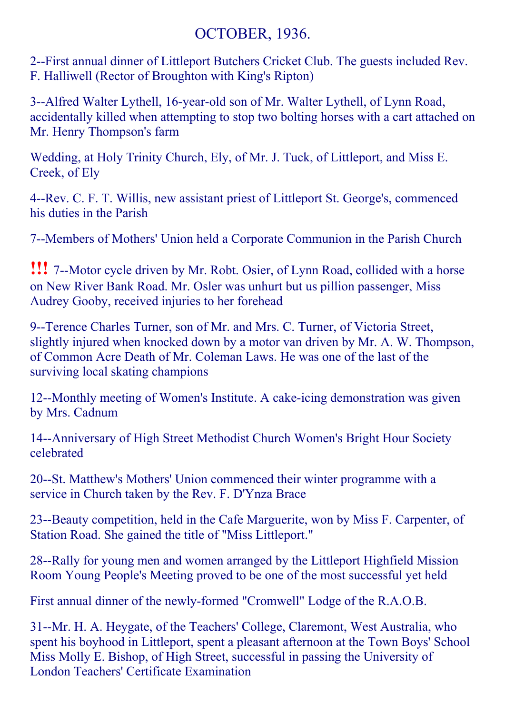#### OCTOBER, 1936.

2First annual dinner of Littleport Butchers Cricket Club. The guests included Rev. F. Halliwell (Rector of Broughton with King's Ripton)

3--Alfred Walter Lythell, 16-year-old son of Mr. Walter Lythell, of Lynn Road, accidentally killed when attempting to stop two bolting horses with a cart attached on Mr. Henry Thompson's farm

Wedding, at Holy Trinity Church, Ely, of Mr. J. Tuck, of Littleport, and Miss E. Creek, of Ely

4--Rev. C. F. T. Willis, new assistant priest of Littleport St. George's, commenced his duties in the Parish

7--Members of Mothers' Union held a Corporate Communion in the Parish Church

**!!!** 7--Motor cycle driven by Mr. Robt. Osier, of Lynn Road, collided with a horse on New River Bank Road. Mr. Osler was unhurt but us pillion passenger, Miss Audrey Gooby, received injuries to her forehead

9--Terence Charles Turner, son of Mr. and Mrs. C. Turner, of Victoria Street, slightly injured when knocked down by a motor van driven by Mr. A. W. Thompson, of Common Acre Death of Mr. Coleman Laws. He was one of the last of the surviving local skating champions

12--Monthly meeting of Women's Institute. A cake-icing demonstration was given by Mrs. Cadnum

14--Anniversary of High Street Methodist Church Women's Bright Hour Society celebrated

20--St. Matthew's Mothers' Union commenced their winter programme with a service in Church taken by the Rev. F. D'Ynza Brace

23--Beauty competition, held in the Cafe Marguerite, won by Miss F. Carpenter, of Station Road. She gained the title of "Miss Littleport."

28--Rally for young men and women arranged by the Littleport Highfield Mission Room Young People's Meeting proved to be one of the most successful yet held

First annual dinner of the newly-formed "Cromwell" Lodge of the R.A.O.B.

31--Mr. H. A. Heygate, of the Teachers' College, Claremont, West Australia, who spent his boyhood in Littleport, spent a pleasant afternoon at the Town Boys' School Miss Molly E. Bishop, of High Street, successful in passing the University of London Teachers' Certificate Examination